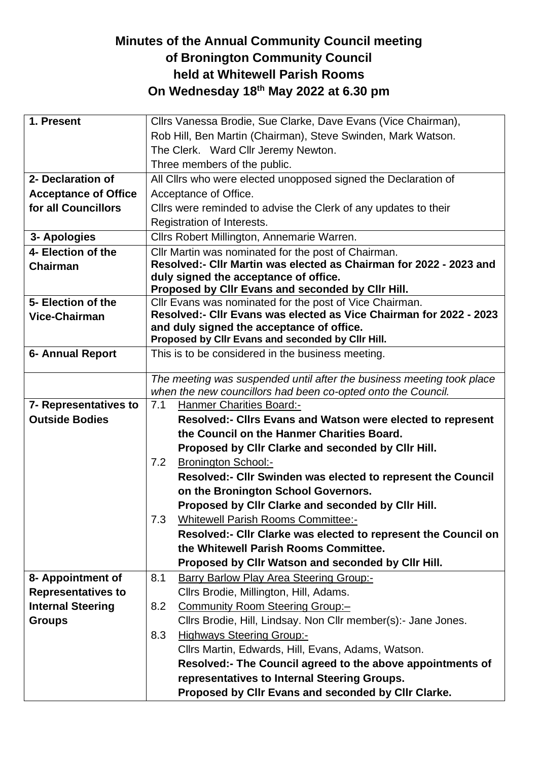## **Minutes of the Annual Community Council meeting of Bronington Community Council held at Whitewell Parish Rooms On Wednesday 18 th May 2022 at 6.30 pm**

| 1. Present                  |                                                                                                                 | Cllrs Vanessa Brodie, Sue Clarke, Dave Evans (Vice Chairman),         |  |
|-----------------------------|-----------------------------------------------------------------------------------------------------------------|-----------------------------------------------------------------------|--|
|                             | Rob Hill, Ben Martin (Chairman), Steve Swinden, Mark Watson.                                                    |                                                                       |  |
|                             |                                                                                                                 | The Clerk. Ward Cllr Jeremy Newton.                                   |  |
|                             |                                                                                                                 | Three members of the public.                                          |  |
| 2- Declaration of           | All Cllrs who were elected unopposed signed the Declaration of                                                  |                                                                       |  |
| <b>Acceptance of Office</b> | Acceptance of Office.                                                                                           |                                                                       |  |
| for all Councillors         |                                                                                                                 | Clirs were reminded to advise the Clerk of any updates to their       |  |
|                             |                                                                                                                 | Registration of Interests.                                            |  |
| 3- Apologies                |                                                                                                                 | Cllrs Robert Millington, Annemarie Warren.                            |  |
| 4- Election of the          |                                                                                                                 | Cllr Martin was nominated for the post of Chairman.                   |  |
| <b>Chairman</b>             | Resolved:- Cllr Martin was elected as Chairman for 2022 - 2023 and                                              |                                                                       |  |
|                             | duly signed the acceptance of office.                                                                           |                                                                       |  |
|                             |                                                                                                                 | Proposed by CIIr Evans and seconded by CIIr Hill.                     |  |
| 5- Election of the          |                                                                                                                 | Cllr Evans was nominated for the post of Vice Chairman.               |  |
| <b>Vice-Chairman</b>        | Resolved:- Cllr Evans was elected as Vice Chairman for 2022 - 2023<br>and duly signed the acceptance of office. |                                                                       |  |
|                             |                                                                                                                 | Proposed by Cllr Evans and seconded by Cllr Hill.                     |  |
| <b>6- Annual Report</b>     |                                                                                                                 | This is to be considered in the business meeting.                     |  |
|                             |                                                                                                                 |                                                                       |  |
|                             |                                                                                                                 | The meeting was suspended until after the business meeting took place |  |
|                             |                                                                                                                 | when the new councillors had been co-opted onto the Council.          |  |
| 7- Representatives to       | 7.1                                                                                                             | Hanmer Charities Board:-                                              |  |
| <b>Outside Bodies</b>       |                                                                                                                 | <b>Resolved:- Clirs Evans and Watson were elected to represent</b>    |  |
|                             |                                                                                                                 | the Council on the Hanmer Charities Board.                            |  |
|                             |                                                                                                                 | Proposed by Cllr Clarke and seconded by Cllr Hill.                    |  |
|                             | 7.2                                                                                                             | <b>Bronington School:-</b>                                            |  |
|                             |                                                                                                                 | Resolved:- Cllr Swinden was elected to represent the Council          |  |
|                             |                                                                                                                 | on the Bronington School Governors.                                   |  |
|                             |                                                                                                                 | Proposed by Cllr Clarke and seconded by Cllr Hill.                    |  |
|                             |                                                                                                                 | 7.3 Whitewell Parish Rooms Committee:-                                |  |
|                             |                                                                                                                 | Resolved:- Cllr Clarke was elected to represent the Council on        |  |
|                             |                                                                                                                 | the Whitewell Parish Rooms Committee.                                 |  |
|                             |                                                                                                                 | Proposed by Cllr Watson and seconded by Cllr Hill.                    |  |
| 8- Appointment of           | 8.1                                                                                                             | Barry Barlow Play Area Steering Group:-                               |  |
| <b>Representatives to</b>   |                                                                                                                 | Cllrs Brodie, Millington, Hill, Adams.                                |  |
| <b>Internal Steering</b>    | 8.2                                                                                                             | <b>Community Room Steering Group:-</b>                                |  |
| <b>Groups</b>               |                                                                                                                 | Cllrs Brodie, Hill, Lindsay. Non Cllr member(s):- Jane Jones.         |  |
|                             | 8.3                                                                                                             | <b>Highways Steering Group:-</b>                                      |  |
|                             |                                                                                                                 | Cllrs Martin, Edwards, Hill, Evans, Adams, Watson.                    |  |
|                             |                                                                                                                 | Resolved:- The Council agreed to the above appointments of            |  |
|                             |                                                                                                                 | representatives to Internal Steering Groups.                          |  |
|                             |                                                                                                                 | Proposed by Cllr Evans and seconded by Cllr Clarke.                   |  |